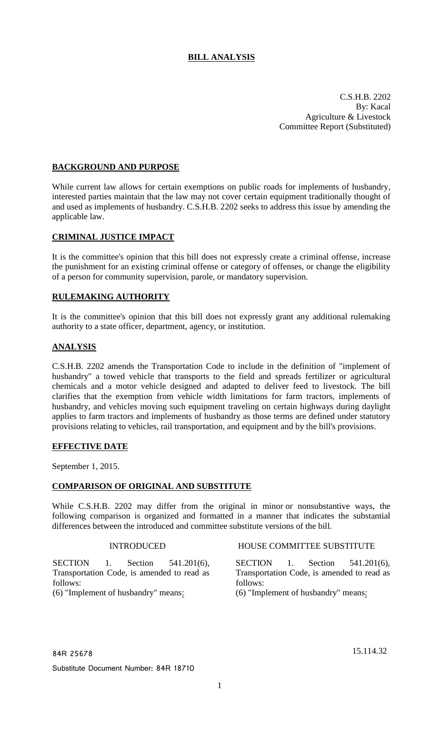# **BILL ANALYSIS**

C.S.H.B. 2202 By: Kacal Agriculture & Livestock Committee Report (Substituted)

### **BACKGROUND AND PURPOSE**

While current law allows for certain exemptions on public roads for implements of husbandry, interested parties maintain that the law may not cover certain equipment traditionally thought of and used as implements of husbandry. C.S.H.B. 2202 seeks to address this issue by amending the applicable law.

#### **CRIMINAL JUSTICE IMPACT**

It is the committee's opinion that this bill does not expressly create a criminal offense, increase the punishment for an existing criminal offense or category of offenses, or change the eligibility of a person for community supervision, parole, or mandatory supervision.

## **RULEMAKING AUTHORITY**

It is the committee's opinion that this bill does not expressly grant any additional rulemaking authority to a state officer, department, agency, or institution.

#### **ANALYSIS**

C.S.H.B. 2202 amends the Transportation Code to include in the definition of "implement of husbandry" a towed vehicle that transports to the field and spreads fertilizer or agricultural chemicals and a motor vehicle designed and adapted to deliver feed to livestock. The bill clarifies that the exemption from vehicle width limitations for farm tractors, implements of husbandry, and vehicles moving such equipment traveling on certain highways during daylight applies to farm tractors and implements of husbandry as those terms are defined under statutory provisions relating to vehicles, rail transportation, and equipment and by the bill's provisions.

#### **EFFECTIVE DATE**

September 1, 2015.

#### **COMPARISON OF ORIGINAL AND SUBSTITUTE**

While C.S.H.B. 2202 may differ from the original in minor or nonsubstantive ways, the following comparison is organized and formatted in a manner that indicates the substantial differences between the introduced and committee substitute versions of the bill.

SECTION 1. Section 541.201(6), Transportation Code, is amended to read as follows: (6) "Implement of husbandry" means:

INTRODUCED HOUSE COMMITTEE SUBSTITUTE

SECTION 1. Section 541.201(6), Transportation Code, is amended to read as follows: (6) "Implement of husbandry" means:

84R 25678 15.114.32

Substitute Document Number: 84R 18710